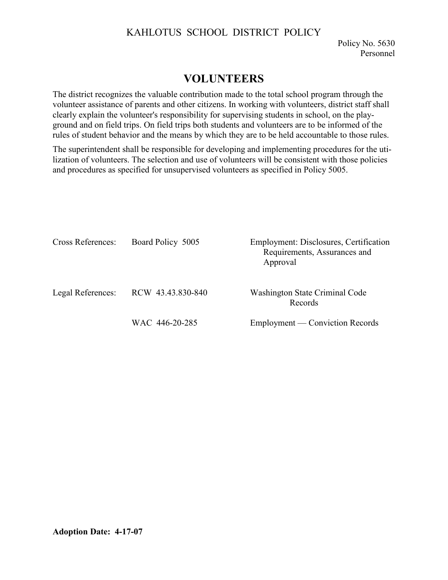## KAHLOTUS SCHOOL DISTRICT POLICY

Policy No. 5630 Personnel

## **VOLUNTEERS**

The district recognizes the valuable contribution made to the total school program through the volunteer assistance of parents and other citizens. In working with volunteers, district staff shall clearly explain the volunteer's responsibility for supervising students in school, on the playground and on field trips. On field trips both students and volunteers are to be informed of the rules of student behavior and the means by which they are to be held accountable to those rules.

The superintendent shall be responsible for developing and implementing procedures for the utilization of volunteers. The selection and use of volunteers will be consistent with those policies and procedures as specified for unsupervised volunteers as specified in Policy 5005.

| Cross References: | Board Policy 5005 | Employment: Disclosures, Certification<br>Requirements, Assurances and<br>Approval |
|-------------------|-------------------|------------------------------------------------------------------------------------|
| Legal References: | RCW 43.43.830-840 | Washington State Criminal Code<br>Records                                          |
|                   | WAC 446-20-285    | Employment — Conviction Records                                                    |

## **Adoption Date: 4-17-07**